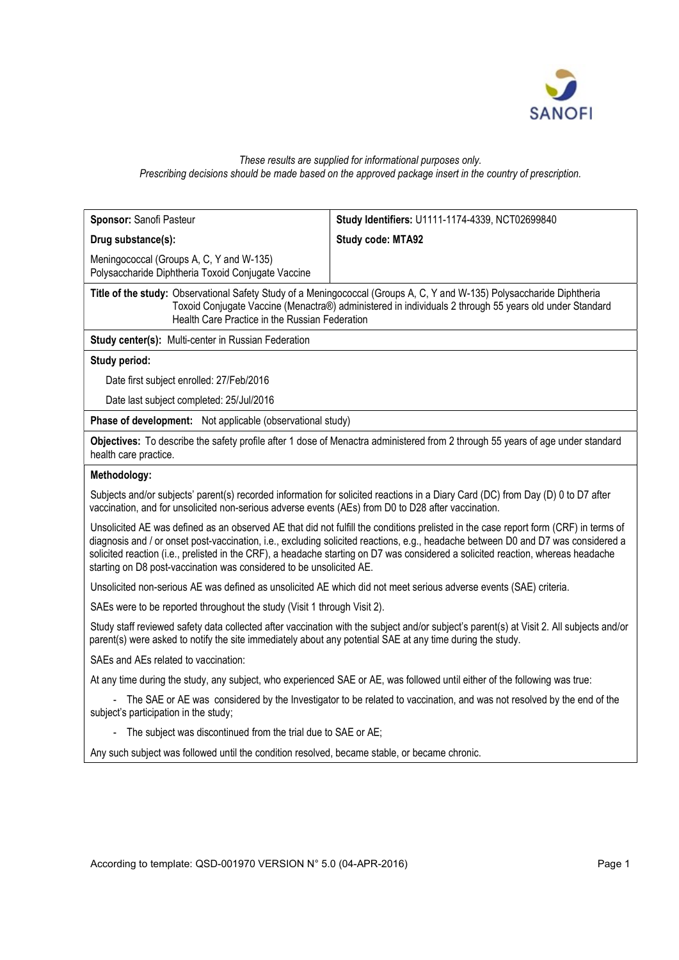

## These results are supplied for informational purposes only. Prescribing decisions should be made based on the approved package insert in the country of prescription.

| Sponsor: Sanofi Pasteur                                                                                                    | Study Identifiers: U1111-1174-4339, NCT02699840                                                                                                                                                                                                                                                                                                                                                               |  |  |  |  |
|----------------------------------------------------------------------------------------------------------------------------|---------------------------------------------------------------------------------------------------------------------------------------------------------------------------------------------------------------------------------------------------------------------------------------------------------------------------------------------------------------------------------------------------------------|--|--|--|--|
| Drug substance(s):                                                                                                         | Study code: MTA92                                                                                                                                                                                                                                                                                                                                                                                             |  |  |  |  |
| Meningococcal (Groups A, C, Y and W-135)<br>Polysaccharide Diphtheria Toxoid Conjugate Vaccine                             |                                                                                                                                                                                                                                                                                                                                                                                                               |  |  |  |  |
| Health Care Practice in the Russian Federation                                                                             | Title of the study: Observational Safety Study of a Meningococcal (Groups A, C, Y and W-135) Polysaccharide Diphtheria<br>Toxoid Conjugate Vaccine (Menactra®) administered in individuals 2 through 55 years old under Standard                                                                                                                                                                              |  |  |  |  |
| <b>Study center(s): Multi-center in Russian Federation</b>                                                                 |                                                                                                                                                                                                                                                                                                                                                                                                               |  |  |  |  |
| Study period:                                                                                                              |                                                                                                                                                                                                                                                                                                                                                                                                               |  |  |  |  |
| Date first subject enrolled: 27/Feb/2016                                                                                   |                                                                                                                                                                                                                                                                                                                                                                                                               |  |  |  |  |
| Date last subject completed: 25/Jul/2016                                                                                   |                                                                                                                                                                                                                                                                                                                                                                                                               |  |  |  |  |
| Phase of development: Not applicable (observational study)                                                                 |                                                                                                                                                                                                                                                                                                                                                                                                               |  |  |  |  |
| health care practice.                                                                                                      | Objectives: To describe the safety profile after 1 dose of Menactra administered from 2 through 55 years of age under standard                                                                                                                                                                                                                                                                                |  |  |  |  |
| Methodology:                                                                                                               |                                                                                                                                                                                                                                                                                                                                                                                                               |  |  |  |  |
| vaccination, and for unsolicited non-serious adverse events (AEs) from D0 to D28 after vaccination.                        | Subjects and/or subjects' parent(s) recorded information for solicited reactions in a Diary Card (DC) from Day (D) 0 to D7 after                                                                                                                                                                                                                                                                              |  |  |  |  |
| starting on D8 post-vaccination was considered to be unsolicited AE.                                                       | Unsolicited AE was defined as an observed AE that did not fulfill the conditions prelisted in the case report form (CRF) in terms of<br>diagnosis and / or onset post-vaccination, i.e., excluding solicited reactions, e.g., headache between D0 and D7 was considered a<br>solicited reaction (i.e., prelisted in the CRF), a headache starting on D7 was considered a solicited reaction, whereas headache |  |  |  |  |
| Unsolicited non-serious AE was defined as unsolicited AE which did not meet serious adverse events (SAE) criteria.         |                                                                                                                                                                                                                                                                                                                                                                                                               |  |  |  |  |
| SAEs were to be reported throughout the study (Visit 1 through Visit 2).                                                   |                                                                                                                                                                                                                                                                                                                                                                                                               |  |  |  |  |
| parent(s) were asked to notify the site immediately about any potential SAE at any time during the study.                  | Study staff reviewed safety data collected after vaccination with the subject and/or subject's parent(s) at Visit 2. All subjects and/or                                                                                                                                                                                                                                                                      |  |  |  |  |
| SAEs and AEs related to vaccination:                                                                                       |                                                                                                                                                                                                                                                                                                                                                                                                               |  |  |  |  |
| At any time during the study, any subject, who experienced SAE or AE, was followed until either of the following was true: |                                                                                                                                                                                                                                                                                                                                                                                                               |  |  |  |  |
| subject's participation in the study;                                                                                      | - The SAE or AE was considered by the Investigator to be related to vaccination, and was not resolved by the end of the                                                                                                                                                                                                                                                                                       |  |  |  |  |
| The subject was discontinued from the trial due to SAE or AE;<br>$\qquad \qquad \blacksquare$                              |                                                                                                                                                                                                                                                                                                                                                                                                               |  |  |  |  |
| Any such subject was followed until the condition resolved, became stable, or became chronic.                              |                                                                                                                                                                                                                                                                                                                                                                                                               |  |  |  |  |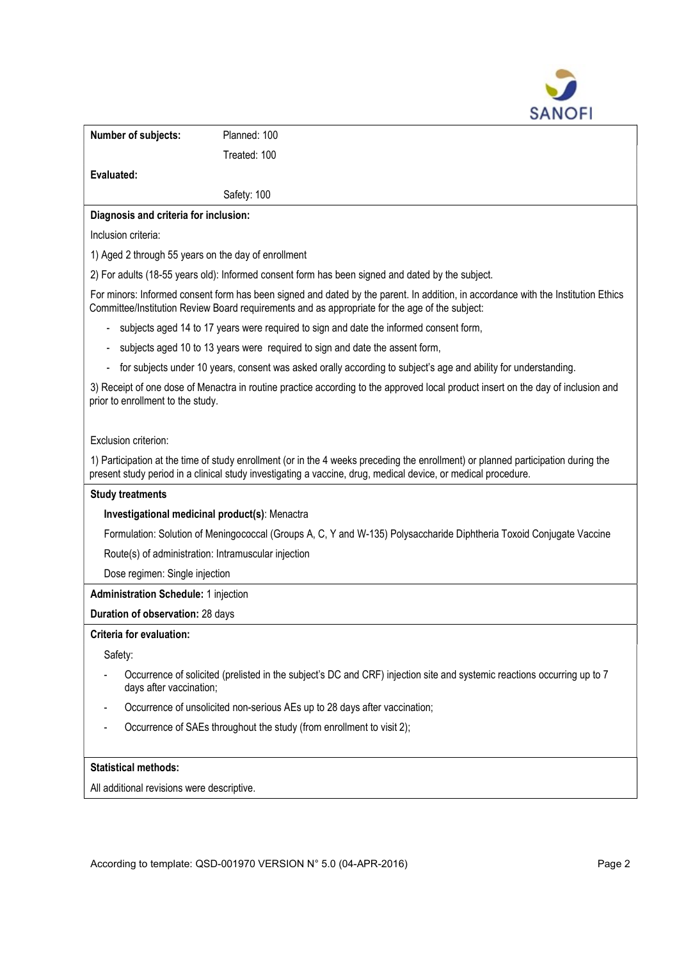

|                                                                                                                                                                                                                                     | <b>SANUFI</b>                                                                                                                                                                                                                                      |  |  |  |  |
|-------------------------------------------------------------------------------------------------------------------------------------------------------------------------------------------------------------------------------------|----------------------------------------------------------------------------------------------------------------------------------------------------------------------------------------------------------------------------------------------------|--|--|--|--|
| Number of subjects:                                                                                                                                                                                                                 | Planned: 100                                                                                                                                                                                                                                       |  |  |  |  |
|                                                                                                                                                                                                                                     | Treated: 100                                                                                                                                                                                                                                       |  |  |  |  |
| Evaluated:                                                                                                                                                                                                                          |                                                                                                                                                                                                                                                    |  |  |  |  |
|                                                                                                                                                                                                                                     | Safety: 100                                                                                                                                                                                                                                        |  |  |  |  |
| Diagnosis and criteria for inclusion:                                                                                                                                                                                               |                                                                                                                                                                                                                                                    |  |  |  |  |
| Inclusion criteria:                                                                                                                                                                                                                 |                                                                                                                                                                                                                                                    |  |  |  |  |
| 1) Aged 2 through 55 years on the day of enrollment                                                                                                                                                                                 |                                                                                                                                                                                                                                                    |  |  |  |  |
|                                                                                                                                                                                                                                     | 2) For adults (18-55 years old): Informed consent form has been signed and dated by the subject.                                                                                                                                                   |  |  |  |  |
| For minors: Informed consent form has been signed and dated by the parent. In addition, in accordance with the Institution Ethics<br>Committee/Institution Review Board requirements and as appropriate for the age of the subject: |                                                                                                                                                                                                                                                    |  |  |  |  |
|                                                                                                                                                                                                                                     | subjects aged 14 to 17 years were required to sign and date the informed consent form,                                                                                                                                                             |  |  |  |  |
| subjects aged 10 to 13 years were required to sign and date the assent form,                                                                                                                                                        |                                                                                                                                                                                                                                                    |  |  |  |  |
| for subjects under 10 years, consent was asked orally according to subject's age and ability for understanding.                                                                                                                     |                                                                                                                                                                                                                                                    |  |  |  |  |
| prior to enrollment to the study.                                                                                                                                                                                                   | 3) Receipt of one dose of Menactra in routine practice according to the approved local product insert on the day of inclusion and                                                                                                                  |  |  |  |  |
| Exclusion criterion:                                                                                                                                                                                                                |                                                                                                                                                                                                                                                    |  |  |  |  |
|                                                                                                                                                                                                                                     | 1) Participation at the time of study enrollment (or in the 4 weeks preceding the enrollment) or planned participation during the<br>present study period in a clinical study investigating a vaccine, drug, medical device, or medical procedure. |  |  |  |  |
| <b>Study treatments</b>                                                                                                                                                                                                             |                                                                                                                                                                                                                                                    |  |  |  |  |
| Investigational medicinal product(s): Menactra                                                                                                                                                                                      |                                                                                                                                                                                                                                                    |  |  |  |  |
| Formulation: Solution of Meningococcal (Groups A, C, Y and W-135) Polysaccharide Diphtheria Toxoid Conjugate Vaccine                                                                                                                |                                                                                                                                                                                                                                                    |  |  |  |  |
| Route(s) of administration: Intramuscular injection                                                                                                                                                                                 |                                                                                                                                                                                                                                                    |  |  |  |  |
| Dose regimen: Single injection                                                                                                                                                                                                      |                                                                                                                                                                                                                                                    |  |  |  |  |
| <b>Administration Schedule: 1 injection</b>                                                                                                                                                                                         |                                                                                                                                                                                                                                                    |  |  |  |  |
| Duration of observation: 28 days                                                                                                                                                                                                    |                                                                                                                                                                                                                                                    |  |  |  |  |
| <b>Criteria for evaluation:</b>                                                                                                                                                                                                     |                                                                                                                                                                                                                                                    |  |  |  |  |
| Safety:                                                                                                                                                                                                                             |                                                                                                                                                                                                                                                    |  |  |  |  |
| days after vaccination;                                                                                                                                                                                                             | Occurrence of solicited (prelisted in the subject's DC and CRF) injection site and systemic reactions occurring up to 7                                                                                                                            |  |  |  |  |
|                                                                                                                                                                                                                                     | Occurrence of unsolicited non-serious AEs up to 28 days after vaccination;                                                                                                                                                                         |  |  |  |  |
|                                                                                                                                                                                                                                     | Occurrence of SAEs throughout the study (from enrollment to visit 2);                                                                                                                                                                              |  |  |  |  |

## Statistical methods:

All additional revisions were descriptive.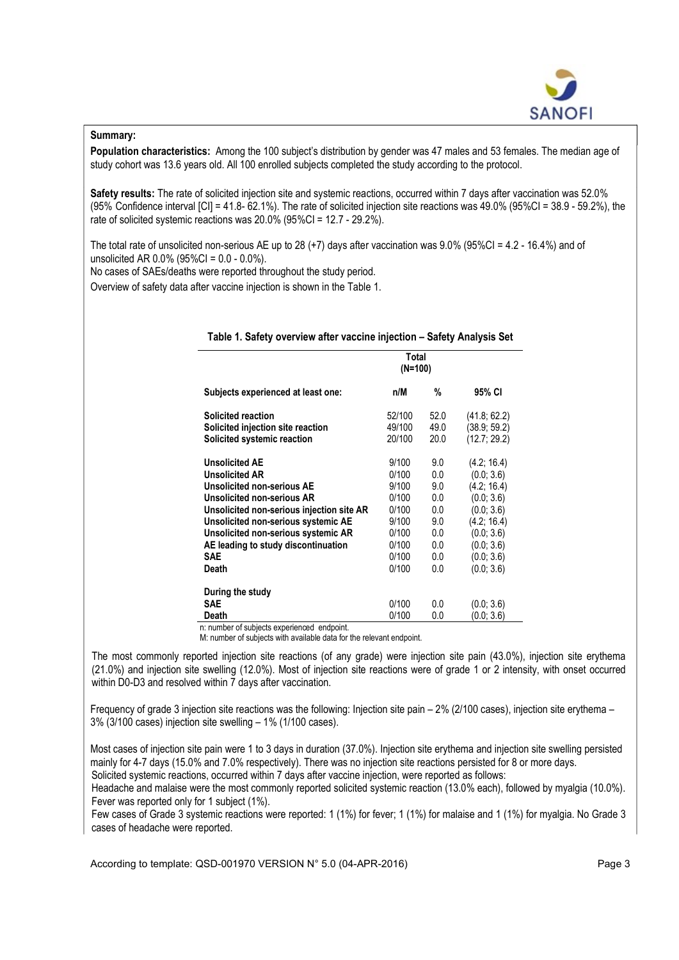

## Summary:

Population characteristics: Among the 100 subject's distribution by gender was 47 males and 53 females. The median age of study cohort was 13.6 years old. All 100 enrolled subjects completed the study according to the protocol.

Safety results: The rate of solicited injection site and systemic reactions, occurred within 7 days after vaccination was 52.0% (95% Confidence interval [CI] = 41.8- 62.1%). The rate of solicited injection site reactions was 49.0% (95%CI = 38.9 - 59.2%), the rate of solicited systemic reactions was 20.0% (95%CI = 12.7 - 29.2%).

The total rate of unsolicited non-serious AE up to 28 (+7) days after vaccination was 9.0% (95%CI = 4.2 - 16.4%) and of unsolicited AR 0.0% (95%CI = 0.0 - 0.0%).

No cases of SAEs/deaths were reported throughout the study period.

Overview of safety data after vaccine injection is shown in the Table 1.

|                                                                                                                                                                                                                                                                                                     | Total<br>$(N=100)$                                                                     |                                                                    |                                                                                                                                             |
|-----------------------------------------------------------------------------------------------------------------------------------------------------------------------------------------------------------------------------------------------------------------------------------------------------|----------------------------------------------------------------------------------------|--------------------------------------------------------------------|---------------------------------------------------------------------------------------------------------------------------------------------|
| Subjects experienced at least one:                                                                                                                                                                                                                                                                  | n/M                                                                                    | %                                                                  | 95% CI                                                                                                                                      |
| <b>Solicited reaction</b><br>Solicited injection site reaction<br>Solicited systemic reaction                                                                                                                                                                                                       | 52/100<br>49/100<br>20/100                                                             | 52.0<br>49.0<br>20.0                                               | (41.8; 62.2)<br>(38.9; 59.2)<br>(12.7; 29.2)                                                                                                |
| <b>Unsolicited AE</b><br><b>Unsolicited AR</b><br>Unsolicited non-serious AE<br>Unsolicited non-serious AR<br>Unsolicited non-serious injection site AR<br>Unsolicited non-serious systemic AE<br>Unsolicited non-serious systemic AR<br>AE leading to study discontinuation<br><b>SAE</b><br>Death | 9/100<br>0/100<br>9/100<br>0/100<br>0/100<br>9/100<br>0/100<br>0/100<br>0/100<br>0/100 | 9.0<br>0.0<br>9.0<br>0.0<br>0.0<br>9.0<br>0.0<br>0.0<br>0.0<br>0.0 | (4.2; 16.4)<br>(0.0; 3.6)<br>(4.2; 16.4)<br>(0.0; 3.6)<br>(0.0; 3.6)<br>(4.2; 16.4)<br>(0.0; 3.6)<br>(0.0; 3.6)<br>(0.0; 3.6)<br>(0.0; 3.6) |
| During the study<br>SAE<br>Death                                                                                                                                                                                                                                                                    | 0/100<br>0/100                                                                         | 0.0<br>0.0                                                         | (0.0; 3.6)<br>(0.0; 3.6)                                                                                                                    |

## Table 1. Safety overview after vaccine injection – Safety Analysis Set

n: number of subjects experienced endpoint.

M: number of subjects with available data for the relevant endpoint.

The most commonly reported injection site reactions (of any grade) were injection site pain (43.0%), injection site erythema (21.0%) and injection site swelling (12.0%). Most of injection site reactions were of grade 1 or 2 intensity, with onset occurred within D0-D3 and resolved within 7 days after vaccination.

Frequency of grade 3 injection site reactions was the following: Injection site pain – 2% (2/100 cases), injection site erythema – 3% (3/100 cases) injection site swelling – 1% (1/100 cases).

Most cases of injection site pain were 1 to 3 days in duration (37.0%). Injection site erythema and injection site swelling persisted mainly for 4-7 days (15.0% and 7.0% respectively). There was no injection site reactions persisted for 8 or more days. Solicited systemic reactions, occurred within 7 days after vaccine injection, were reported as follows:

Headache and malaise were the most commonly reported solicited systemic reaction (13.0% each), followed by myalgia (10.0%). Fever was reported only for 1 subject (1%).

Few cases of Grade 3 systemic reactions were reported: 1 (1%) for fever; 1 (1%) for malaise and 1 (1%) for myalgia. No Grade 3 cases of headache were reported.

According to template: QSD-001970 VERSION N° 5.0 (04-APR-2016) Page 3